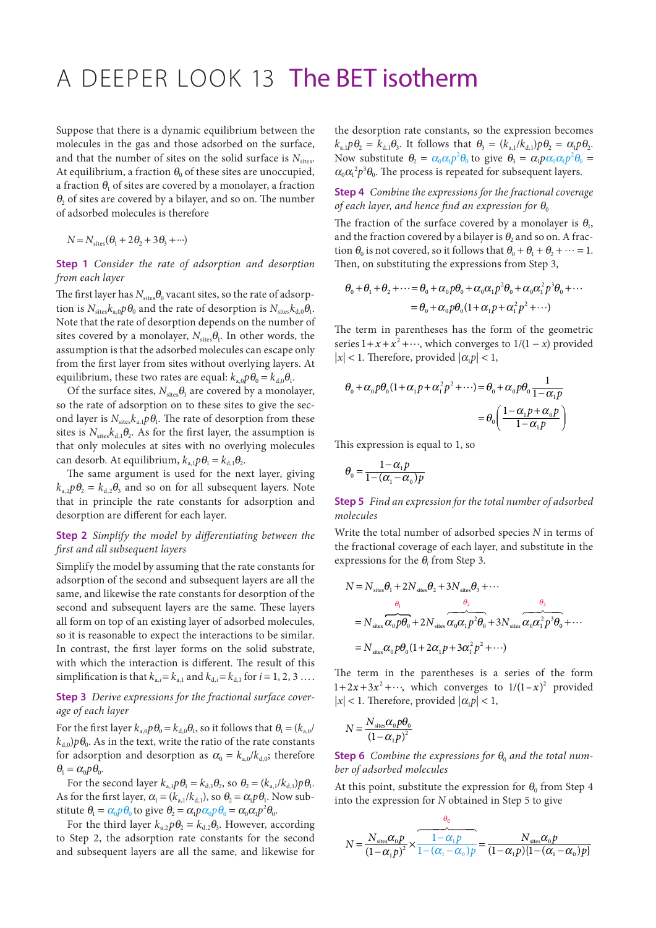# A DEEPER LOOK 13 The BET isotherm

Suppose that there is a dynamic equilibrium between the molecules in the gas and those adsorbed on the surface, and that the number of sites on the solid surface is  $N_{\text{sites}}$ . At equilibrium, a fraction  $\theta_0$  of these sites are unoccupied, a fraction  $\theta_1$  of sites are covered by a monolayer, a fraction  $\theta_2$  of sites are covered by a bilayer, and so on. The number of adsorbed molecules is therefore

$$
N = N_{\text{sites}}(\theta_1 + 2\theta_2 + 3\theta_3 + \cdots)
$$

### **Step 1** *Consider the rate of adsorption and desorption from each layer*

The first layer has  $N_{\text{sites}}\theta_0$  vacant sites, so the rate of adsorption is  $N_{\text{sites}}k_{a,0}p\theta_0$  and the rate of desorption is  $N_{\text{sites}}k_{d,0}\theta_1$ . Note that the rate of desorption depends on the number of sites covered by a monolayer,  $N_{\text{sites}}\theta_1$ . In other words, the assumption is that the adsorbed molecules can escape only from the first layer from sites without overlying layers. At equilibrium, these two rates are equal:  $k_{a,0}p\theta_0 = k_{d,0}\theta_1$ .

Of the surface sites,  $N_{\text{sites}}\theta_1$  are covered by a monolayer, so the rate of adsorption on to these sites to give the second layer is  $N_{\text{sites}}k_{\text{a,l}}p\theta_{\text{l}}$ . The rate of desorption from these sites is  $N_{\text{sites}}k_{\text{d},1}\theta_2$ . As for the first layer, the assumption is that only molecules at sites with no overlying molecules can desorb. At equilibrium,  $k_{a,1}p\theta_1 = k_{d,1}\theta_2$ .

The same argument is used for the next layer, giving  $k_{a,2}p\theta_2 = k_{d,2}\theta_3$  and so on for all subsequent layers. Note that in principle the rate constants for adsorption and desorption are different for each layer.

## **Step 2** *Simplify the model by differentiating between the first and all subsequent layers*

Simplify the model by assuming that the rate constants for adsorption of the second and subsequent layers are all the same, and likewise the rate constants for desorption of the second and subsequent layers are the same. These layers all form on top of an existing layer of adsorbed molecules, so it is reasonable to expect the interactions to be similar. In contrast, the first layer forms on the solid substrate, with which the interaction is different. The result of this simplification is that  $k_{a,i} = k_{a,1}$  and  $k_{d,i} = k_{d,1}$  for  $i = 1, 2, 3 ...$ .

**Step 3** *Derive expressions for the fractional surface coverage of each layer*

For the first layer  $k_{a,0}p\theta_0 = k_{d,0}\theta_1$ , so it follows that  $\theta_1 = (k_{a,0}/2)$  $k_{d0}$ ) $p\theta_0$ . As in the text, write the ratio of the rate constants for adsorption and desorption as  $\alpha_0 = k_{a,0}/k_{d,0}$ ; therefore  $\theta_1 = \alpha_0 p \theta_0$ .

For the second layer  $k_{a,1}p\theta_1 = k_{d,1}\theta_2$ , so  $\theta_2 = (k_{a,1}/k_{d,1})p\theta_1$ . As for the first layer,  $\alpha_1 = (k_{a,1}/k_{d,1})$ , so  $\theta_2 = \alpha_1 p \theta_1$ . Now substitute  $\theta_1 = \alpha_0 p \theta_0$  to give  $\theta_2 = \alpha_1 p \alpha_0 p \theta_0 = \alpha_0 \alpha_1 p^2 \theta_0$ .

For the third layer  $k_{a,2}p\theta_2 = k_{d,2}\theta_3$ . However, according to Step 2, the adsorption rate constants for the second and subsequent layers are all the same, and likewise for

the desorption rate constants, so the expression becomes  $k_{a}$ ,  $p\theta_{2} = k_{d} \theta_{3}$ . It follows that  $\theta_{3} = (k_{a} \theta_{1}/k_{d}) p\theta_{2} = \alpha_{1} p\theta_{2}$ . Now substitute  $\theta_2 = \alpha_0 \alpha_1 p^2 \theta_0$  to give  $\theta_3 = \alpha_1 p \alpha_0 \alpha_1 p^2 \theta_0 =$  $\alpha_0 \alpha_1^2 p^3 \theta_0$ . The process is repeated for subsequent layers.

### **Step 4** *Combine the expressions for the fractional coverage of each layer, and hence find an expression for*  $\theta_0$

The fraction of the surface covered by a monolayer is  $\theta_1$ , and the fraction covered by a bilayer is  $\theta_2$  and so on. A fraction  $\theta_0$  is not covered, so it follows that  $\theta_0 + \theta_1 + \theta_2 + \cdots = 1$ . Then, on substituting the expressions from Step 3,

$$
\theta_0 + \theta_1 + \theta_2 + \dots = \theta_0 + \alpha_0 p \theta_0 + \alpha_0 \alpha_1 p^2 \theta_0 + \alpha_0 \alpha_1^2 p^3 \theta_0 + \dots
$$
  
=  $\theta_0 + \alpha_0 p \theta_0 (1 + \alpha_1 p + \alpha_1^2 p^2 + \dots)$ 

The term in parentheses has the form of the geometric series  $1 + x + x^2 + \cdots$ , which converges to  $1/(1 - x)$  provided  $|x|$  < 1. Therefore, provided  $|\alpha_1 p|$  < 1,

$$
\theta_0 + \alpha_0 p \theta_0 (1 + \alpha_1 p + \alpha_1^2 p^2 + \cdots) = \theta_0 + \alpha_0 p \theta_0 \frac{1}{1 - \alpha_1 p}
$$

$$
= \theta_0 \left( \frac{1 - \alpha_1 p + \alpha_0 p}{1 - \alpha_1 p} \right)
$$

This expression is equal to 1, so

$$
\theta_{0} = \frac{1 - \alpha_{1} p}{1 - (\alpha_{1} - \alpha_{0}) p}
$$

**Step 5** *Find an expression for the total number of adsorbed molecules*

Write the total number of adsorbed species *N* in terms of the fractional coverage of each layer, and substitute in the expressions for the  $\theta$ <sub>*i*</sub> from Step 3.

$$
N = N_{\text{sites}} \theta_1 + 2N_{\text{sites}} \theta_2 + 3N_{\text{sites}} \theta_3 + \cdots
$$
  
\n
$$
\theta_1 \qquad \theta_2
$$
  
\n
$$
= N_{\text{sites}} \alpha_0 p \theta_0 + 2N_{\text{sites}} \alpha_0 \alpha_1 p^2 \theta_0 + 3N_{\text{sites}} \alpha_0 \alpha_1^2 p^3 \theta_0 + \cdots
$$
  
\n
$$
= N_{\text{sites}} \alpha_0 p \theta_0 (1 + 2\alpha_1 p + 3\alpha_1^2 p^2 + \cdots)
$$

The term in the parentheses is a series of the form  $1+2x+3x^2+\cdots$ , which converges to  $1/(1-x)^2$  provided  $|x|$  < 1. Therefore, provided  $|\alpha_1 p|$  < 1,

$$
N = \frac{N_{\text{sites}}\alpha_0 p\theta_0}{\left(1 - \alpha_1 p\right)^2}
$$

**Step 6** *Combine the expressions for*  $\theta_0$  *and the total number of adsorbed molecules*

At this point, substitute the expression for  $\theta_0$  from Step 4 into the expression for *N* obtained in Step 5 to give

$$
N = \frac{N_{\text{sites}}\alpha_0 p}{(1 - \alpha_1 p)^2} \times \frac{1 - \alpha_1 p}{1 - (\alpha_1 - \alpha_0)p} = \frac{N_{\text{sites}}\alpha_0 p}{(1 - \alpha_1 p)\{1 - (\alpha_1 - \alpha_0)p\}}
$$